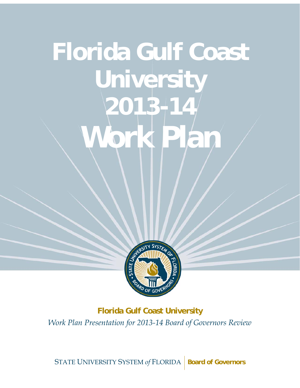# **Work Plan Florida Gulf Coast University 2013-14 Work Plan**



**Florida Gulf Coast University** *Work Plan Presentation for 2013-14 Board of Governors Review* 

STATE UNIVERSITY SYSTEM of FLORIDA Board of Governors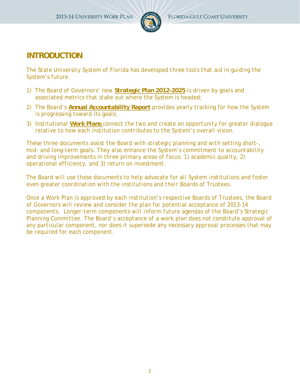

## **INTRODUCTION**

*The State University System of Florida has developed three tools that aid in guiding the System's future.* 

- *1) The Board of Governors' new Strategic Plan 2012-2025 is driven by goals and associated metrics that stake out where the System is headed;*
- *2) The Board's Annual Accountability Report provides yearly tracking for how the System is progressing toward its goals;*
- *3) Institutional Work Plans connect the two and create an opportunity for greater dialogue relative to how each institution contributes to the System's overall vision.*

*These three documents assist the Board with strategic planning and with setting short-, mid- and long-term goals. They also enhance the System's commitment to accountability and driving improvements in three primary areas of focus: 1) academic quality, 2) operational efficiency, and 3) return on investment.* 

*The Board will use these documents to help advocate for all System institutions and foster even greater coordination with the institutions and their Boards of Trustees.* 

*Once a Work Plan is approved by each institution's respective Boards of Trustees, the Board of Governors will review and consider the plan for potential acceptance of 2013-14 components. Longer-term components will inform future agendas of the Board's Strategic Planning Committee. The Board's acceptance of a work plan does not constitute approval of any particular component, nor does it supersede any necessary approval processes that may be required for each component.*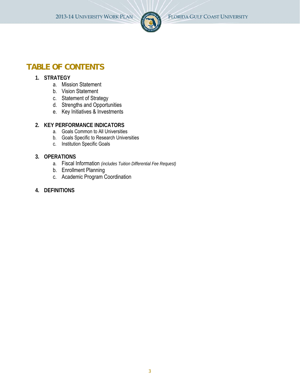

## **TABLE OF CONTENTS**

#### **1. STRATEGY**

- a. Mission Statement
- b. Vision Statement
- c. Statement of Strategy
- d. Strengths and Opportunities
- e. Key Initiatives & Investments

#### **2. KEY PERFORMANCE INDICATORS**

- a. Goals Common to All Universities
- b. Goals Specific to Research Universities
- c. Institution Specific Goals

#### **3. OPERATIONS**

- a. Fiscal Information *(includes Tuition Differential Fee Request)*
- b. Enrollment Planning
- c. Academic Program Coordination
- **4. DEFINITIONS**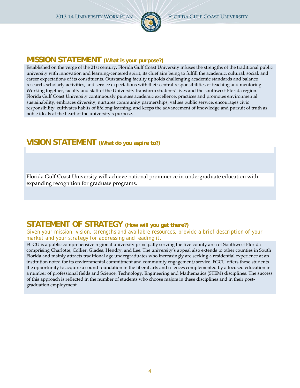

## **MISSION STATEMENT (What is your purpose?)**

Established on the verge of the 21st century, Florida Gulf Coast University infuses the strengths of the traditional public university with innovation and learning-centered spirit, its chief aim being to fulfill the academic, cultural, social, and career expectations of its constituents. Outstanding faculty upholds challenging academic standards and balance research, scholarly activities, and service expectations with their central responsibilities of teaching and mentoring. Working together, faculty and staff of the University transform students' lives and the southwest Florida region. Florida Gulf Coast University continuously pursues academic excellence, practices and promotes environmental sustainability, embraces diversity, nurtures community partnerships, values public service, encourages civic responsibility, cultivates habits of lifelong learning, and keeps the advancement of knowledge and pursuit of truth as noble ideals at the heart of the university's purpose.

## **VISION STATEMENT (What do you aspire to?)**

Florida Gulf Coast University will achieve national prominence in undergraduate education with expanding recognition for graduate programs.

## **STATEMENT OF STRATEGY (How will you get there?)**

#### *Given your mission, vision, strengths and available resources, provide a brief description of your market and your strategy for addressing and leading it.*

FGCU is a public comprehensive regional university principally serving the five-county area of Southwest Florida comprising Charlotte, Collier, Glades, Hendry, and Lee. The university's appeal also extends to other counties in South Florida and mainly attracts traditional age undergraduates who increasingly are seeking a residential experience at an institution noted for its environmental commitment and community engagement/service. FGCU offers these students the opportunity to acquire a sound foundation in the liberal arts and sciences complemented by a focused education in a number of professional fields and Science, Technology, Engineering and Mathematics (STEM) disciplines. The success of this approach is reflected in the number of students who choose majors in these disciplines and in their postgraduation employment.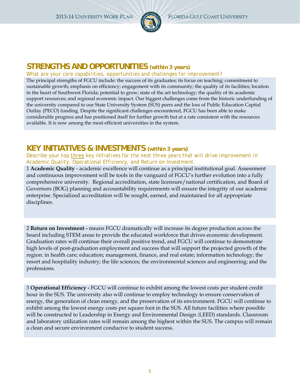

## **STRENGTHS AND OPPORTUNITIES** *(within 3 years)*

#### *What are your core capabilities, opportunities and challenges for improvement?*

The principal strengths of FGCU include: the success of its graduates; its focus on teaching; commitment to sustainable growth; emphasis on efficiency; engagement with its community; the quality of its facilities; location in the heart of Southwest Florida; potential to grow; state of the art technology; the quality of its academic support resources; and regional economic impact. Our biggest challenges come from the historic underfunding of the university compared to our State University System (SUS) peers and the loss of Public Education Capital Outlay (PECO) funding. Despite the significant challenges encountered, FGCU has been able to make considerable progress and has positioned itself for further growth but at a rate consistent with the resources available. It is now among the most efficient universities in the system.

## **KEY INITIATIVES & INVESTMENTS** *(within 3 years)*

*Describe your top three key initiatives for the next three years that will drive improvement in Academic Quality, Operational Efficiency, and Return on Investment.*

1 **Academic Quality** - academic excellence will continue as a principal institutional goal. Assessment and continuous improvement will be tools in the vanguard of FGCU's further evolution into a fully comprehensive university. Regional accreditation, state licensure/national certification, and Board of Governors (BOG) planning and accountability requirements will ensure the integrity of our academic enterprise. Specialized accreditation will be sought, earned, and maintained for all appropriate disciplines.

2 **Return on Investment -** means FGCU dramatically will increase its degree production across the board including STEM areas to provide the educated workforce that drives economic development. Graduation rates will continue their overall positive trend, and FGCU will continue to demonstrate high levels of post-graduation employment and success that will support the projected growth of the region: in health care; education; management, finance, and real estate; information technology; the resort and hospitality industry; the life sciences; the environmental sciences and engineering; and the professions.

3 **Operational Efficiency -** FGCU will continue to exhibit among the lowest costs per student credit hour in the SUS. The university also will continue to employ technology to ensure conservation of energy, the generation of clean energy, and the preservation of its environment. FGCU will continue to exhibit among the lowest energy costs per square foot in the SUS. All future facilities where possible will be constructed to Leadership in Energy and Environmental Design (LEED) standards. Classroom and laboratory utilization rates will remain among the highest within the SUS. The campus will remain a clean and secure environment conducive to student success.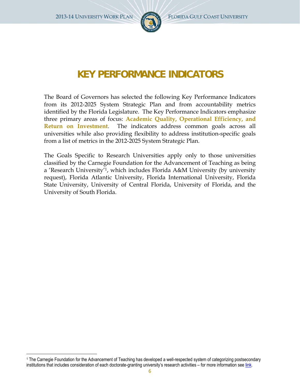

## **KEY PERFORMANCE INDICATORS**

The Board of Governors has selected the following Key Performance Indicators from its 2012-2025 System Strategic Plan and from accountability metrics identified by the Florida Legislature. The Key Performance Indicators emphasize three primary areas of focus: **Academic Quality, Operational Efficiency, and Return on Investment**. The indicators address common goals across all universities while also providing flexibility to address institution-specific goals from a list of metrics in the 2012-2025 System Strategic Plan.

The Goals Specific to Research Universities apply only to those universities classified by the Carnegie Foundation for the Advancement of Teaching as being a 'Research University'1, which includes Florida A&M University (by university request), Florida Atlantic University, Florida International University, Florida State University, University of Central Florida, University of Florida, and the University of South Florida.

<sup>1</sup> The Carnegie Foundation for the Advancement of Teaching has developed a well-respected system of categorizing postsecondary institutions that includes consideration of each doctorate-granting university's research activities – for more information see link.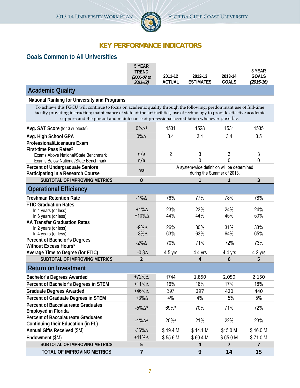

## **KEY PERFORMANCE INDICATORS**

## **Goals Common to All Universities**

|                                                                                                                                                                                                                                                                                                                                                | 5 YEAR<br><b>TREND</b><br>(2006-07 to<br>$2011 - 12$ | 2011-12<br><b>ACTUAL</b>     | 2012-13<br><b>ESTIMATES</b>                                               | 2013-14<br><b>GOALS</b> | 3 YEAR<br><b>GOALS</b><br>$(2015 - 16)$ |
|------------------------------------------------------------------------------------------------------------------------------------------------------------------------------------------------------------------------------------------------------------------------------------------------------------------------------------------------|------------------------------------------------------|------------------------------|---------------------------------------------------------------------------|-------------------------|-----------------------------------------|
| <b>Academic Quality</b>                                                                                                                                                                                                                                                                                                                        |                                                      |                              |                                                                           |                         |                                         |
| National Ranking for University and Programs                                                                                                                                                                                                                                                                                                   |                                                      |                              |                                                                           |                         |                                         |
| To achieve this FGCU will continue to focus on academic quality through the following: predominant use of full-time<br>faculty providing instruction; maintenance of state-of-the-art facilities; use of technology to provide effective academic<br>support; and the pursuit and maintenance of professional accreditation whenever possible. |                                                      |                              |                                                                           |                         |                                         |
| Avg. SAT Score (for 3 subtests)                                                                                                                                                                                                                                                                                                                | $0\% \Delta$ <sup>1</sup>                            | 1531                         | 1528                                                                      | 1531                    | 1535                                    |
| Avg. High School GPA                                                                                                                                                                                                                                                                                                                           | $0\%$ $\triangle$                                    | 3.4                          | 3.4                                                                       | 3.4                     | 3.5                                     |
| <b>Professional/Licensure Exam</b><br>First-time Pass Rates <sup>2</sup><br>Exams Above National/State Benchmark<br>Exams Below National/State Benchmark                                                                                                                                                                                       | n/a<br>n/a                                           | $\overline{\mathbf{c}}$<br>1 | 3<br>0                                                                    | 3<br>0                  | 3<br>0                                  |
| <b>Percent of Undergraduate Seniors</b><br>Participating in a Research Course                                                                                                                                                                                                                                                                  | n/a                                                  |                              | A system-wide definition will be determined<br>during the Summer of 2013. |                         |                                         |
| <b>SUBTOTAL OF IMPROVING METRICS</b>                                                                                                                                                                                                                                                                                                           | $\mathbf 0$                                          |                              | $\mathbf{1}$                                                              | $\mathbf{1}$            | 3                                       |
| <b>Operational Efficiency</b>                                                                                                                                                                                                                                                                                                                  |                                                      |                              |                                                                           |                         |                                         |
| <b>Freshman Retention Rate</b>                                                                                                                                                                                                                                                                                                                 | $-1\%$ $\triangle$                                   | 76%                          | 77%                                                                       | 78%                     | 78%                                     |
| <b>FTIC Graduation Rates</b>                                                                                                                                                                                                                                                                                                                   |                                                      |                              |                                                                           |                         |                                         |
| In 4 years (or less)                                                                                                                                                                                                                                                                                                                           | $+1\%$ $\triangle$                                   | 23%                          | 23%                                                                       | 24%                     | 24%                                     |
| In 6 years (or less)                                                                                                                                                                                                                                                                                                                           | $+10\%$ $\triangle$                                  | 44%                          | 44%                                                                       | 45%                     | 50%                                     |
| <b>AA Transfer Graduation Rates</b>                                                                                                                                                                                                                                                                                                            |                                                      |                              |                                                                           |                         |                                         |
| In 2 years (or less)                                                                                                                                                                                                                                                                                                                           | -9% $\Delta$<br>$-3\% \triangle$                     | 26%<br>63%                   | 30%<br>63%                                                                | 31%<br>64%              | 33%<br>65%                              |
| In 4 years (or less)                                                                                                                                                                                                                                                                                                                           |                                                      |                              |                                                                           |                         |                                         |
| Percent of Bachelor's Degrees<br><b>Without Excess Hours*</b>                                                                                                                                                                                                                                                                                  | $-2\% \triangle$                                     | 70%                          | 71%                                                                       | 72%                     | 73%                                     |
| Average Time to Degree (for FTIC)                                                                                                                                                                                                                                                                                                              | $-0.3\Delta$                                         | $4.5$ yrs                    | 4.4 yrs                                                                   | $4.4$ yrs               | $4.2$ yrs                               |
| <b>SUBTOTAL OF IMPROVING METRICS</b>                                                                                                                                                                                                                                                                                                           | $\overline{2}$                                       |                              | 4                                                                         | 6                       | 5                                       |
| <b>Return on Investment</b>                                                                                                                                                                                                                                                                                                                    |                                                      |                              |                                                                           |                         |                                         |
| <b>Bachelor's Degrees Awarded</b>                                                                                                                                                                                                                                                                                                              | $+72\%$ $\triangle$                                  | 1744                         | 1,850                                                                     | 2,050                   | 2,150                                   |
| Percent of Bachelor's Degrees in STEM                                                                                                                                                                                                                                                                                                          | $+11\%$ $\triangle$                                  | 16%                          | 16%                                                                       | 17%                     | 18%                                     |
| <b>Graduate Degrees Awarded</b>                                                                                                                                                                                                                                                                                                                | $+46\%$ $\triangle$                                  | 397                          | 397                                                                       | 420                     | 440                                     |
| Percent of Graduate Degrees in STEM                                                                                                                                                                                                                                                                                                            | $+3\% \Delta$                                        | 4%                           | 4%                                                                        | 5%                      | 5%                                      |
| <b>Percent of Baccalaureate Graduates</b><br><b>Employed in Florida</b>                                                                                                                                                                                                                                                                        | $-5\% \Delta^3$                                      | 69%3                         | 70%                                                                       | 71%                     | 72%                                     |
| <b>Percent of Baccalaureate Graduates</b>                                                                                                                                                                                                                                                                                                      | $-1\% \Delta^3$                                      | 20%3                         | 21%                                                                       | 22%                     | 23%                                     |
| Continuing their Education (in FL)                                                                                                                                                                                                                                                                                                             |                                                      |                              |                                                                           |                         |                                         |
| Annual Gifts Received (\$M)                                                                                                                                                                                                                                                                                                                    | -36% $\Delta$                                        | \$19.4 M                     | \$14.1 M                                                                  | \$15.0 M                | \$16.0 M                                |
| Endowment (\$M)                                                                                                                                                                                                                                                                                                                                | $+41\%$ $\triangle$                                  | \$55.6 M                     | \$60.4 M                                                                  | \$65.0 M                | \$71.0 M                                |
| SUBTOTAL OF IMPROVING METRICS                                                                                                                                                                                                                                                                                                                  | 5                                                    |                              | 4                                                                         | $\overline{7}$          | $\overline{\mathbf{z}}$                 |
| <b>TOTAL OF IMPROVING METRICS</b>                                                                                                                                                                                                                                                                                                              | $\overline{\mathbf{z}}$                              |                              | 9                                                                         | 14                      | 15                                      |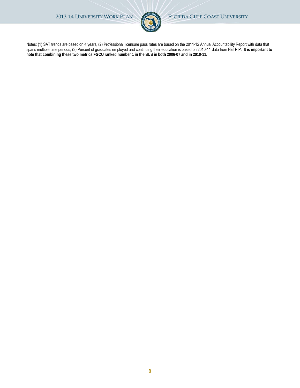

Notes: (1) SAT trends are based on 4 years, (2) Professional licensure pass rates are based on the 2011-12 Annual Accountability Report with data that spans multiple time periods, (3) Percent of graduates employed and continuing their education is based on 2010-11 data from FETPIP. It is important to<br>note that combining these two metrics FGCU ranked number 1 in the SUS i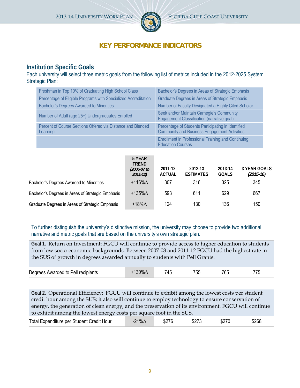

## **KEY PERFORMANCE INDICATORS**

## **Institution Specific Goals**

Each university will select three metric goals from the following list of metrics included in the 2012-2025 System Strategic Plan:

| Freshman in Top 10% of Graduating High School Class                     | Bachelor's Degrees in Areas of Strategic Emphasis                                                         |
|-------------------------------------------------------------------------|-----------------------------------------------------------------------------------------------------------|
| Percentage of Eligible Programs with Specialized Accreditation          | <b>Graduate Degrees in Areas of Strategic Emphasis</b>                                                    |
| <b>Bachelor's Degrees Awarded to Minorities</b>                         | Number of Faculty Designated a Highly Cited Scholar                                                       |
| Number of Adult (age 25+) Undergraduates Enrolled                       | Seek and/or Maintain Carnegie's Community<br><b>Engagement Classification (narrative goal)</b>            |
| Percent of Course Sections Offered via Distance and Blended<br>Learning | Percentage of Students Participating in Identified<br><b>Community and Business Engagement Activities</b> |
|                                                                         | Enrollment in Professional Training and Continuing<br><b>Education Courses</b>                            |

|                                                   | 5 YEAR<br><b>TREND</b><br>$(2006 - 07)$ to<br>$2011 - 12$ | 2011-12<br><b>ACTUAL</b> | 2012-13<br><b>ESTIMATES</b> | 2013-14<br><b>GOALS</b> | 3 YEAR GOALS<br>$(2015-16)$ |
|---------------------------------------------------|-----------------------------------------------------------|--------------------------|-----------------------------|-------------------------|-----------------------------|
| Bachelor's Degrees Awarded to Minorities          | $+116\%$ $\triangle$                                      | 307                      | 316                         | 325                     | 345                         |
| Bachelor's Degrees in Areas of Strategic Emphasis | $+135\%$ $\triangle$                                      | 593                      | 611                         | 629                     | 667                         |
| Graduate Degrees in Areas of Strategic Emphasis   | +18%∆                                                     | 124                      | 130                         | 136                     | 150                         |

To further distinguish the university's distinctive mission, the university may choose to provide two additional narrative and metric goals that are based on the university's own strategic plan.

**Goal 1.** Return on Investment: FGCU will continue to provide access to higher education to students from low socio-economic backgrounds*.* Between 2007-08 and 2011-12 FGCU had the highest rate in the SUS of growth in degrees awarded annually to students with Pell Grants.

| Degrees Awarded to Pell recipients | $10\triangle$ | ٬Δ |  |  |  |
|------------------------------------|---------------|----|--|--|--|
|------------------------------------|---------------|----|--|--|--|

**Goal 2.** Operational Efficiency: FGCU will continue to exhibit among the lowest costs per student credit hour among the SUS; it also will continue to employ technology to ensure conservation of energy, the generation of clean energy, and the preservation of its environment. FGCU will continue to exhibit among the lowest energy costs per square foot in the SUS.

| Total Expenditure per Student Credit Hour | $-21\%$ $\triangle$ | \$276 | \$273 | \$270 | \$268 |
|-------------------------------------------|---------------------|-------|-------|-------|-------|
|-------------------------------------------|---------------------|-------|-------|-------|-------|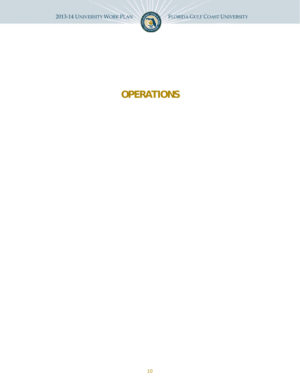

# **OPERATIONS**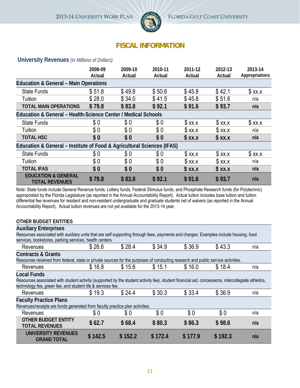

## **FISCAL INFORMATION**

#### **University Revenues** *(in Millions of Dollars)*

|                                                                        | 2008-09 | 2009-10 | 2010-11 | 2011-12 | 2012-13 | 2013-14        |
|------------------------------------------------------------------------|---------|---------|---------|---------|---------|----------------|
|                                                                        | Actual  | Actual  | Actual  | Actual  | Actual  | Appropriations |
| <b>Education &amp; General - Main Operations</b>                       |         |         |         |         |         |                |
| <b>State Funds</b>                                                     | \$51.8  | \$49.8  | \$50.6  | \$45.8  | \$42.1  | $x \times x$   |
| Tuition                                                                | \$28.0  | \$34.0  | \$41.5  | \$45.8  | \$51.6  | n/a            |
| <b>TOTAL MAIN OPERATIONS</b>                                           | \$79.8  | \$83.8  | \$92.1  | \$91.6  | \$93.7  | n/a            |
| Education & General - Health-Science Center / Medical Schools          |         |         |         |         |         |                |
| <b>State Funds</b>                                                     | \$0     | \$0     | \$0     | \$xx.x  | \$xx.x  | \$xx.x         |
| Tuition                                                                | \$0     | \$0     | \$0     | \$XX.X  | \$xx.x  | n/a            |
| <b>TOTAL HSC</b>                                                       | \$0     | \$0     | \$0     | \$XX.X  | \$XX.X  | n/a            |
| Education & General - Institute of Food & Agricultural Sciences (IFAS) |         |         |         |         |         |                |
| <b>State Funds</b>                                                     | \$0     | \$0     | \$0     | x x. x  | x x. x  | $x \times x$   |
| Tuition                                                                | \$0     | \$0     | \$0     | \$xx.x  | \$xx.x  | n/a            |
| <b>TOTAL IFAS</b>                                                      | \$0     | \$0     | \$0     | \$XX.X  | \$XX.X  | n/a            |
| <b>EDUCATION &amp; GENERAL</b><br><b>TOTAL REVENUES</b>                | \$79.8  | \$83.8  | \$92.1  | \$91.6  | \$93.7  | n/a            |

Note: State funds include General Revenue funds, Lottery funds, Federal Stimulus funds, and Phosphate Research funds (for Polytechnic) appropriated by the Florida Legislature (as reported in the Annual Accountability Report). Actual tuition includes base tuition and tuition differential fee revenues for resident and non-resident undergraduate and graduate students net of waivers (as reported in the Annual Accountability Report). Actual tuition revenues are not yet available for the 2013-14 year.

#### **OTHER BUDGET ENTITIES**

| <b>Auxiliary Enterprises</b>                                                                                                                       |         |         |         |         |         |     |
|----------------------------------------------------------------------------------------------------------------------------------------------------|---------|---------|---------|---------|---------|-----|
| Resources associated with auxiliary units that are self supporting through fees, payments and charges. Examples include housing, food              |         |         |         |         |         |     |
| services, bookstores, parking services, health centers.                                                                                            |         |         |         |         |         |     |
| Revenues                                                                                                                                           | \$26.6  | \$28.4  | \$34.9  | \$36.9  | \$43.3  | n/a |
| <b>Contracts &amp; Grants</b>                                                                                                                      |         |         |         |         |         |     |
| Resources received from federal, state or private sources for the purposes of conducting research and public service activities.                   |         |         |         |         |         |     |
| Revenues                                                                                                                                           | \$16.8  | \$15.6  | \$15.1  | \$16.0  | \$18.4  | n/a |
| <b>Local Funds</b>                                                                                                                                 |         |         |         |         |         |     |
| Resources associated with student activity (supported by the student activity fee), student financial aid, concessions, intercollegiate athletics, |         |         |         |         |         |     |
| technology fee, green fee, and student life & services fee.                                                                                        |         |         |         |         |         |     |
| Revenues                                                                                                                                           | \$19.3  | \$24.4  | \$30.3  | \$33.4  | \$36.9  | n/a |
| <b>Faculty Practice Plans</b>                                                                                                                      |         |         |         |         |         |     |
| Revenues/receipts are funds generated from faculty practice plan activities.                                                                       |         |         |         |         |         |     |
| Revenues                                                                                                                                           | \$0     | \$0     | \$0     | \$0     | \$0     | n/a |
| OTHER BUDGET ENTITY                                                                                                                                | \$62.7  | \$68.4  | \$80.3  | \$86.3  | \$98.6  | n/a |
| <b>TOTAL REVENUES</b>                                                                                                                              |         |         |         |         |         |     |
| UNIVERSITY REVENUES<br><b>GRAND TOTAL</b>                                                                                                          | \$142.5 | \$152.2 | \$172.4 | \$177.9 | \$192.3 | n/a |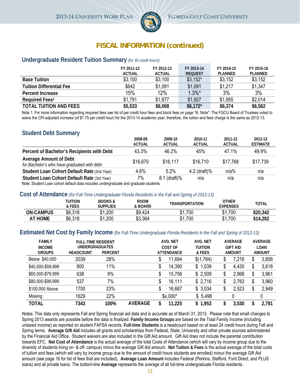

## **FISCAL INFORMATION (continued)**

#### **Undergraduate Resident Tuition Summary** *(for 30 credit hours)*

|                                 | FY 2011-12<br><b>ACTUAL</b> | FY 2012-13<br><b>ACTUAL</b> | FY 2013-14<br><b>REQUEST</b> | FY 2014-15<br>PLANNED | FY 2015-16<br><b>PLANNED</b> |
|---------------------------------|-----------------------------|-----------------------------|------------------------------|-----------------------|------------------------------|
| <b>Base Tuition</b>             | \$3,100                     | \$3,100                     | $$3,152*$                    | \$3,152               | \$3,152                      |
| <b>Tuition Differential Fee</b> | \$642                       | \$1,091                     | \$1,091                      | \$1,217               | \$1,347                      |
| Percent Increase                | 15%                         | 12%                         | $1.3\%$ *                    | 3%                    | 3%                           |
| Required Fees <sup>1</sup>      | \$1,791                     | \$1,877                     | \$1,927                      | \$1,955               | \$2,014                      |
| <b>TOTAL TUITION AND FEES</b>   | \$5,533                     | \$6,068                     | $$6,172$ *                   | \$6,374               | \$6,562                      |

Note 1: For more information regarding required fees see list of per credit hour fees and block fees on page 16. Note\*: The FGCU Board of Trustees voted to waive the CPI-adjusted increase (of \$1.75 per credit hour) for the 2013-14 academic year; therefore, the tuition and fees charge is the same as 2012-13.

#### **Student Debt Summary**

|                                                                              | 2008-09       | 2009-10        | 2010-11        | 2011-12       | 2012-13         |
|------------------------------------------------------------------------------|---------------|----------------|----------------|---------------|-----------------|
|                                                                              | <b>ACTUAL</b> | <b>ACTUAL</b>  | <b>ACTUAL</b>  | <b>ACTUAL</b> | <b>ESTIMATE</b> |
| Percent of Bachelor's Recipients with Debt                                   | 43.3%         | 46.2%          | 45%            | 47 1%         | 49.9%           |
| <b>Average Amount of Debt</b><br>for Bachelor's who have graduated with debt | \$16,670      | \$16.117       | \$16,710       | \$17.768      | \$17,739        |
| Student Loan Cohort Default Rate (2nd Year)                                  | 4.6%          | 5.2%           | $4.2$ (draft)% | $n/a$ %       | n/a             |
| Student Loan Cohort Default Rate (3rd Year)                                  | 7%            | $8.1$ (draft)% | n/a            | n/a           | n/a             |

Note: Student Loan cohort default data includes undergraduate and graduate students.

**Cost of Attendance** *(for Full-Time Undergraduate Florida Residents in the Fall and Spring of 2012-13)*

|                  | TUITION<br>& FEES | <b>BOOKS&amp;</b><br>Supplies | <b>ROOM</b><br>& BOARD | <b>TRANSPORTATION</b> | <b>OTHER</b><br><b>EXPENSES</b> | TOTAL    |
|------------------|-------------------|-------------------------------|------------------------|-----------------------|---------------------------------|----------|
| <b>ON-CAMPUS</b> | \$6,318           | \$1,200                       | \$9,424                | ,700<br><b>ሰ</b>      | \$1.700<br>ሶ ላ                  | \$20,342 |
| <b>AT HOME</b>   | \$6,318           | .200،<br>ቦ ላ<br>الت           | \$3,364                | ,700<br>৫ 1           | ተ 4<br>\$1,700                  | \$14,282 |

#### **Estimated Net Cost by Family Income** *(for Full-Time Undergraduate Florida Residents in the Fall and Spring of 2012-13)*

| <b>FAMILY</b><br><b>INCOME</b> | <b>FULL-TIME RESIDENT</b><br>UNDERGRADUATES |                |                |    | AVG. NET<br>COST OF | AVG. NET<br><b>TUITION</b> |    | <b>AVERAGE</b><br><b>GIFT AID</b> | <b>AVERAGE</b><br>LOAN |
|--------------------------------|---------------------------------------------|----------------|----------------|----|---------------------|----------------------------|----|-----------------------------------|------------------------|
| <b>GROUPS</b>                  | <b>HEADCOUNT</b>                            | <b>PERCENT</b> |                |    | <b>ATTENDANCE</b>   | & FEES                     |    | <b>AMOUNT</b>                     | <b>AMOUNT</b>          |
| Below \$40,000                 | 2039                                        | 28%            |                | Φ  | 11,694              | \$(1,784)                  | S  | 7,216                             | \$<br>3,856            |
| \$40,000-\$59,999              | 800                                         | 11%            |                | Φ  | 14,390              | \$1,039                    | \$ | 4,430                             | \$<br>3,618            |
| \$60,000-\$79,999              | 638                                         | 9%             |                | \$ | 15,756              | \$2,509                    | \$ | 2,968                             | \$<br>3,961            |
| \$80,000-\$99,999              | 537                                         | 7%             |                | \$ | 16,111              | \$2,716                    | \$ | 2,763                             | \$<br>3,960            |
| \$100,000 Above                | 1700                                        | 23%            |                | S  | 16,687              | \$3,034                    | \$ | 2,523                             | \$<br>2,949            |
| Missing                        | 1629                                        | 22%            |                |    | $$x,000*$           | \$5,496                    |    | 0                                 | 0                      |
| <b>TOTAL</b>                   | 7343                                        | 100%           | <b>AVERAGE</b> |    | 11,225              | \$1,953                    |    | 3,530                             | \$<br>2,781            |

Notes: This data only represents Fall and Spring financial aid data and is accurate as of March 31, 2013. Please note that small changes to Spring 2013 awards are possible before the data is finalized. **Family Income Groups** are based on the Total Family Income (including untaxed income) as reported on student FAFSA records. **Full-time Students** is a headcount based on at least 24 credit hours during Fall and Spring terms. **Average Gift Aid** includes all grants and scholarships from Federal, State, University and other private sources administered by the Financial Aid Office. Student waivers are also included in the Gift Aid amount. Gift Aid does not include the parental contribution towards EFC. **Net Cost of Attendance** is the actual average of the total Costs of Attendance (which will vary by income group due to the diversity of students living on- & off- campus) *minus* the average Gift Aid amount. **Net Tuition & Fees** is the actual average of the total costs of tuition and fees (which will vary by income group due to the amount of credit hours students are enrolled) *minus* the average Gift Aid amount (see page 16 for list of fees that are included). **Average Loan Amount** includes Federal (Perkins, Stafford, Ford Direct, and PLUS loans) and all private loans. The bottom-line **Average** represents the average of all full-time undergraduate Florida residents.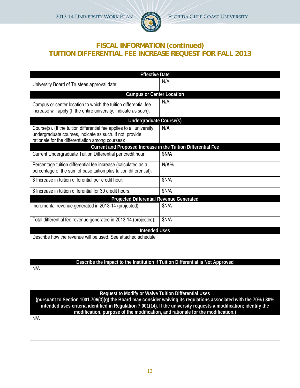

## **FISCAL INFORMATION (continued) TUITION DIFFERENTIAL FEE INCREASE REQUEST FOR FALL 2013**

| <b>Effective Date</b>                                                                                                                                                                                                                                                                                                     |       |  |  |  |  |  |
|---------------------------------------------------------------------------------------------------------------------------------------------------------------------------------------------------------------------------------------------------------------------------------------------------------------------------|-------|--|--|--|--|--|
| University Board of Trustees approval date:                                                                                                                                                                                                                                                                               | N/A   |  |  |  |  |  |
| <b>Campus or Center Location</b>                                                                                                                                                                                                                                                                                          |       |  |  |  |  |  |
| Campus or center location to which the tuition differential fee<br>increase will apply (If the entire university, indicate as such):                                                                                                                                                                                      | N/A   |  |  |  |  |  |
| <b>Undergraduate Course(s)</b>                                                                                                                                                                                                                                                                                            |       |  |  |  |  |  |
| Course(s). (If the tuition differential fee applies to all university<br>undergraduate courses, indicate as such. If not, provide<br>rationale for the differentiation among courses):                                                                                                                                    | N/A   |  |  |  |  |  |
| Current and Proposed Increase in the Tuition Differential Fee                                                                                                                                                                                                                                                             |       |  |  |  |  |  |
| Current Undergraduate Tuition Differential per credit hour:                                                                                                                                                                                                                                                               | \$N/A |  |  |  |  |  |
| Percentage tuition differential fee increase (calculated as a<br>percentage of the sum of base tuition plus tuition differential):                                                                                                                                                                                        | N/A%  |  |  |  |  |  |
| \$ Increase in tuition differential per credit hour:                                                                                                                                                                                                                                                                      | \$N/A |  |  |  |  |  |
| \$ Increase in tuition differential for 30 credit hours:                                                                                                                                                                                                                                                                  | \$N/A |  |  |  |  |  |
| Projected Differential Revenue Generated                                                                                                                                                                                                                                                                                  |       |  |  |  |  |  |
| Incremental revenue generated in 2013-14 (projected):                                                                                                                                                                                                                                                                     | \$N/A |  |  |  |  |  |
| Total differential fee revenue generated in 2013-14 (projected):                                                                                                                                                                                                                                                          | \$N/A |  |  |  |  |  |
| <b>Intended Uses</b><br>Describe how the revenue will be used. See attached schedule                                                                                                                                                                                                                                      |       |  |  |  |  |  |
|                                                                                                                                                                                                                                                                                                                           |       |  |  |  |  |  |
|                                                                                                                                                                                                                                                                                                                           |       |  |  |  |  |  |
| Describe the Impact to the Institution if Tuition Differential is Not Approved                                                                                                                                                                                                                                            |       |  |  |  |  |  |
| N/A                                                                                                                                                                                                                                                                                                                       |       |  |  |  |  |  |
|                                                                                                                                                                                                                                                                                                                           |       |  |  |  |  |  |
| <b>Request to Modify or Waive Tuition Differential Uses</b>                                                                                                                                                                                                                                                               |       |  |  |  |  |  |
| (pursuant to Section 1001.706(3)(g) the Board may consider waiving its regulations associated with the 70% / 30%<br>intended uses criteria identified in Regulation 7.001(14). If the university requests a modification; identify the<br>modification, purpose of the modification, and rationale for the modification.) |       |  |  |  |  |  |
| N/A                                                                                                                                                                                                                                                                                                                       |       |  |  |  |  |  |
|                                                                                                                                                                                                                                                                                                                           |       |  |  |  |  |  |
|                                                                                                                                                                                                                                                                                                                           |       |  |  |  |  |  |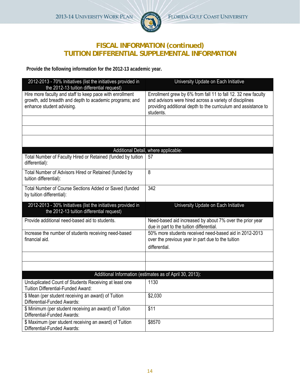

## **FISCAL INFORMATION (continued) TUITION DIFFERENTIAL SUPPLEMENTAL INFORMATION**

**Provide the following information for the 2012-13 academic year.** 

| 2012-2013 - 70% Initiatives (list the initiatives provided in<br>the 2012-13 tuition differential request)                                       | University Update on Each Initiative                                                                                                                                                                    |
|--------------------------------------------------------------------------------------------------------------------------------------------------|---------------------------------------------------------------------------------------------------------------------------------------------------------------------------------------------------------|
| Hire more faculty and staff to keep pace with enrollment<br>growth, add breadth and depth to academic programs; and<br>enhance student advising. | Enrollment grew by 6% from fall 11 to fall 12. 32 new faculty<br>and advisors were hired across a variety of disciplines<br>providing additional depth to the curriculum and assistance to<br>students. |
|                                                                                                                                                  |                                                                                                                                                                                                         |
|                                                                                                                                                  |                                                                                                                                                                                                         |
|                                                                                                                                                  |                                                                                                                                                                                                         |
|                                                                                                                                                  | Additional Detail, where applicable:                                                                                                                                                                    |
| Total Number of Faculty Hired or Retained (funded by tuition<br>differential):                                                                   | 57                                                                                                                                                                                                      |
| Total Number of Advisors Hired or Retained (funded by<br>tuition differential):                                                                  | 8                                                                                                                                                                                                       |
| Total Number of Course Sections Added or Saved (funded<br>by tuition differential):                                                              | 342                                                                                                                                                                                                     |
| 2012-2013 - 30% Initiatives (list the initiatives provided in<br>the 2012-13 tuition differential request)                                       | University Update on Each Initiative                                                                                                                                                                    |
| Provide additional need-based aid to students.                                                                                                   | Need-based aid increased by about 7% over the prior year<br>due in part to the tuition differential.                                                                                                    |
| Increase the number of students receiving need-based<br>financial aid.                                                                           | 50% more students received need-based aid in 2012-2013<br>over the previous year in part due to the tuition                                                                                             |
|                                                                                                                                                  | differential.                                                                                                                                                                                           |
|                                                                                                                                                  |                                                                                                                                                                                                         |
|                                                                                                                                                  |                                                                                                                                                                                                         |
|                                                                                                                                                  | Additional Information (estimates as of April 30, 2013):                                                                                                                                                |
| Unduplicated Count of Students Receiving at least one<br>Tuition Differential-Funded Award:                                                      | 1130                                                                                                                                                                                                    |
| \$ Mean (per student receiving an award) of Tuition<br>Differential-Funded Awards:                                                               | \$2,030                                                                                                                                                                                                 |
| \$ Minimum (per student receiving an award) of Tuition<br><b>Differential-Funded Awards:</b>                                                     | $\overline{$11}$                                                                                                                                                                                        |
| \$ Maximum (per student receiving an award) of Tuition<br>Differential-Funded Awards:                                                            | \$8570                                                                                                                                                                                                  |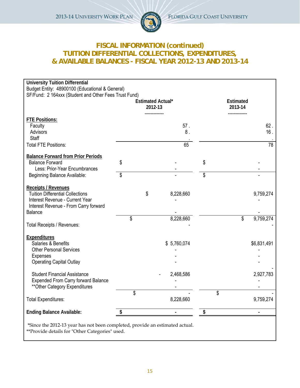

## **FISCAL INFORMATION (continued) TUITION DIFFERENTIAL COLLECTIONS, EXPENDITURES, & AVAILABLE BALANCES - FISCAL YEAR 2012-13 AND 2013-14**

| <b>University Tuition Differential</b><br>Budget Entity: 48900100 (Educational & General)<br>SF/Fund: 2 164xxx (Student and Other Fees Trust Fund)                  |    |                                     |                       |    |                             |
|---------------------------------------------------------------------------------------------------------------------------------------------------------------------|----|-------------------------------------|-----------------------|----|-----------------------------|
|                                                                                                                                                                     |    | <b>Estimated Actual*</b><br>2012-13 |                       |    | <b>Estimated</b><br>2013-14 |
| <b>FTE Positions:</b><br>Faculty<br>Advisors<br><b>Staff</b>                                                                                                        |    |                                     | 57.<br>8 <sub>1</sub> |    | 62.<br>16.                  |
| <b>Total FTE Positions:</b>                                                                                                                                         |    |                                     | 65                    |    | 78                          |
| <b>Balance Forward from Prior Periods</b><br><b>Balance Forward</b><br>Less: Prior-Year Encumbrances                                                                | \$ |                                     |                       | \$ |                             |
| Beginning Balance Available:                                                                                                                                        | \$ |                                     |                       | \$ |                             |
| <b>Receipts / Revenues</b><br><b>Tuition Differential Collections</b><br>Interest Revenue - Current Year<br>Interest Revenue - From Carry forward<br><b>Balance</b> |    | \$                                  | 8,228,660             |    | 9,759,274                   |
| Total Receipts / Revenues:                                                                                                                                          | \$ |                                     | 8,228,660             |    | \$<br>9,759,274             |
| <b>Expenditures</b><br>Salaries & Benefits<br><b>Other Personal Services</b><br><b>Expenses</b><br><b>Operating Capital Outlay</b>                                  |    |                                     | \$5,760,074           |    | \$6,831,491                 |
| <b>Student Financial Assistance</b><br><b>Expended From Carry forward Balance</b><br>** Other Category Expenditures                                                 |    |                                     | 2,468,586             |    | 2,927,783                   |
| <b>Total Expenditures:</b>                                                                                                                                          | \$ |                                     | 8,228,660             | \$ | 9,759,274                   |
| <b>Ending Balance Available:</b>                                                                                                                                    | S  |                                     |                       | \$ |                             |
| *Since the 2012-13 year has not been completed, provide an estimated actual.<br>**Provide details for "Other Categories" used.                                      |    |                                     |                       |    |                             |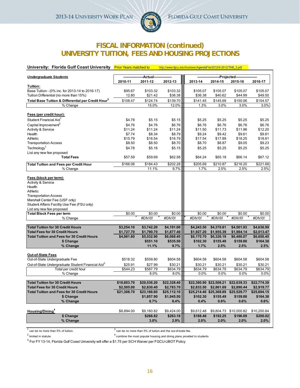

## **FISCAL INFORMATION (continued) UNIVERSITY TUITION, FEES AND HOUSING PROJECTIONS**

University: Florida Gulf Coast University Prior Years matched to http://www.fgcu.edu/trustees/AgendaFile/2012/6-2012/TAB\_3.pdf *Undergraduate Students* **2010-11 2011-12 2012-13 2013-14 2014-15 2015-16 2016-17 Tuition:** Base Tuition - (0% inc. for 2013-14 to 2016-17) \$95.67 \$103.32 \$103.32 \$105.07 \$105.07 \$105.07 \$105.07 Tuition Differential (no more than 15%) 12.80 \$21.42 \$36.38 \$36.38 \$40.62 \$44.99 \$49.50 **Total Base Tuition & Differential per Credit Hour5** \$108.47 \$124.74 \$139.70 \$141.45 \$145.69 \$150.06 \$154.57 % Change 20 20 20 20 3.0% 12.0% 12.0% 1.3% 3.0% 3.0% 3.0% 3.0% **Fees (per credit hour):** Student Financial Aid<sup>1</sup> 65.25 \$5.25 \$5.15 \$5.15 \$5.15 \$5.25 \$5.25 \$5.25 \$5.25 \$5.25 Capital Improvement<sup>2</sup> 65.76 \$4.76 \$4.76 \$6.76 \$6.76 \$6.76 \$6.76 \$6.76 \$6.76 \$6.76 Activity & Service **\$12.20** \$11.24 \$11.24 \$11.24 \$11.24 \$11.50 \$11.73 \$11.96 \$12.20 Health \$7.74 \$8.34 \$8.79 \$9.24 \$9.42 \$9.61 \$9.81 Athletic \$15.79 \$16.54 \$16.79 \$17.54 \$17.89 \$18.25 \$18.61 Transportation Access \$8.50 \$8.50 \$8.70 \$8.70 \$8.87 \$9.05 \$9.23 Technology<sup>1</sup> \$4.78 \$5.16 \$5.25 \$5.25 \$5.25 \$5.25 List any new fee proposed **Total Fees** \$57.59 \$59.69 \$62.58 \$64.24 \$65.18 \$66.14 \$67.12 **Total Tuition and Fees per Credit Hour** \$166.06 \$184.43 \$202.28 \$205.69 \$210.87 \$216.20 \$221.68 % Change 11.1% 9.7% 1.7% 2.5% 2.5% 2.5% **Fees (block per term):** Activity & Service Health Athletic Transportation Access Marshall Center Fee (USF only) Student Affairs Facility Use Fee (FSU only) List any new fee proposed **Total Block Fees per term** \$0.00 \$0.00 \$0.00 \$0.00 \$0.00 \$0.00 \$0.00 % Change #DIV/0! #DIV/0! #DIV/0! #DIV/0! #DIV/0! #DIV/0! **Total Tuition for 30 Credit Hours \$3,254.10 \$3,742.20 \$4,191.00 \$4,243.50 \$4,370.81 \$4,501.93 \$4,636.99 Total Fees for 30 Credit Hours \$1,727.70 \$1,790.70 \$1,877.40 \$1,927.20 \$1,955.39 \$1,984.14 \$2,013.47 Total Tuition and Fees for 30 Credit Hours \$4,981.80 \$5,532.90 \$6,068.40 \$6,170.70 \$6,326.19 \$6,486.07 \$6,650.45 \$ Change \$551.10 \$535.50 \$102.30 \$155.49 \$159.88 \$164.38 % Change 11.1% 9.7% 1.7% 2.5% 2.5% 2.5% Out-of-State Fees** Out-of-State Undergraduate Fee \$518.32 \$559.80 \$604.58 \$604.58 \$604.58 \$604.58 \$604.58 Out-of-State Undergraduate Student Financial Aid<sup>3</sup> \$25.91 \$27.99 \$30.21 \$30.21 \$30.21 \$30.21 \$30.21 \$30.21 Total per credit hour **\$544.23** \$587.79 \$634.79 \$634.79 \$634.79 \$634.79 \$634.79 % Change 8.0% 8.0% 0.0% 0.0% 0.0% 0.0% **Total Tuition for 30 Credit Hours \$18,803.70 \$20,536.20 \$22,328.40 \$22,380.90 \$22,508.21 \$22,639.33 \$22,774.39 Total Fees for 30 Credit Hours \$2,505.00 \$2,630.40 \$2,783.70 \$2,833.50 \$2,861.69 \$2,890.44 \$2,919.77 Total Tuition and Fees for 30 Credit Hours \$21,308.70 \$23,166.60 \$25,112.10 \$25,214.40 \$25,369.89 \$25,529.77 \$25,694.15 \$ Change \$1,857.90 \$1,945.50 \$102.30 \$155.49 \$159.88 \$164.38 % Change 8.7% 8.4% 0.4% 0.6% 0.6% 0.6% Housing/Dining<sup>4</sup>** \$8,894.00 \$9,160.82 \$9,424.00 \$9,612.48 \$9,804.73 \$10,000.82 \$10,200.84 **\$ Change \$266.82 \$263.18 \$188.48 \$192.25 \$196.09 \$200.02 % Change 3.0% 2.9% 2.0% 2.0% 2.0% 2.0% ------------------Actual---------------- --------------------Projected-------------------**

 $<sup>1</sup>$  can be no more than 5% of tuition.  $<sup>3</sup>$ </sup></sup>

 $3$  can be no more than 5% of tuition and the out-of-state fee.

 $2$  limited in statute

 $^4$  combine the most popular housing and dining plans provided to students

<sup>5</sup> For FY 13-14, Florida Gulf Coast University will offer a \$1.75 per SCH Waiver per FGCU-UBOT Policy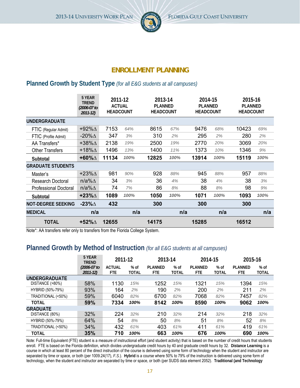

## **ENROLLMENT PLANNING**

#### **Planned Growth by Student Type** *(for all E&G students at all campuses)*

|                              | 5 YEAR<br><b>TREND</b><br>$(2006 - 07)$ to<br>$2011 - 12$ | 2011-12<br><b>ACTUAL</b><br><b>HEADCOUNT</b> |      | 2013-14<br><b>PLANNED</b><br><b>HEADCOUNT</b> |      | 2014-15<br><b>PLANNED</b><br><b>HEADCOUNT</b> |      | 2015-16<br><b>PLANNED</b><br><b>HEADCOUNT</b> |      |
|------------------------------|-----------------------------------------------------------|----------------------------------------------|------|-----------------------------------------------|------|-----------------------------------------------|------|-----------------------------------------------|------|
| <b>UNDERGRADUATE</b>         |                                                           |                                              |      |                                               |      |                                               |      |                                               |      |
| FTIC (Regular Admit)         | +92% $\Delta$                                             | 7153                                         | 64%  | 8615                                          | 67%  | 9476                                          | 68%  | 10423                                         | 69%  |
| FTIC (Profile Admit)         | -20% $\Delta$                                             | 347                                          | 3%   | 310                                           | 2%   | 295                                           | 2%   | 280                                           | 2%   |
| AA Transfers*                | +38% $\Delta$                                             | 2138                                         | 19%  | 2500                                          | 19%  | 2770                                          | 20%  | 3069                                          | 20%  |
| <b>Other Transfers</b>       | +18% $\Delta$                                             | 1496                                         | 13%  | 1400                                          | 11%  | 1373                                          | 10%  | 1346                                          | 9%   |
| Subtotal                     | +60% $\Delta$                                             | 11134                                        | 100% | 12825                                         | 100% | 13914                                         | 100% | 15119                                         | 100% |
| <b>GRADUATE STUDENTS</b>     |                                                           |                                              |      |                                               |      |                                               |      |                                               |      |
| Master's                     | +23% $\Delta$                                             | 981                                          | 90%  | 928                                           | 88%  | 945                                           | 88%  | 957                                           | 88%  |
| <b>Research Doctoral</b>     | $n/a\%$ $\Delta$                                          | 34                                           | 3%   | 36                                            | 4%   | 38                                            | 4%   | 38                                            | 3%   |
| <b>Professional Doctoral</b> | $n/a\%$ $\Delta$                                          | 74                                           | 7%   | 86                                            | 8%   | 88                                            | 8%   | 98                                            | 9%   |
| Subtotal                     | +23% $\Delta$                                             | 1089                                         | 100% | 1050                                          | 100% | 1071                                          | 100% | 1093                                          | 100% |
| NOT-DEGREE SEEKING           | -23% $\Delta$                                             | 432                                          |      | 300                                           |      | 300                                           |      | 300                                           |      |
| <b>MEDICAL</b>               | n/a                                                       |                                              | n/a  |                                               | n/a  |                                               | n/a  |                                               | n/a  |
| <b>TOTAL</b>                 | +52% $\Delta$                                             | 12655                                        |      | 14175                                         |      | 15285                                         |      | 16512                                         |      |

Note\*: AA transfers refer only to transfers from the Florida College System.

## **Planned Growth by Method of Instruction** *(for all E&G students at all campuses)*

|                      | 5 YEAR<br><b>TREND</b>     | 2011-12                     |                      | 2013-14                      |                        | 2014-15               |                      | 2015-16                      |                        |
|----------------------|----------------------------|-----------------------------|----------------------|------------------------------|------------------------|-----------------------|----------------------|------------------------------|------------------------|
|                      | (2006-07 to<br>$2011 - 12$ | <b>ACTUAL</b><br><b>FTE</b> | % of<br><b>TOTAL</b> | <b>PLANNED</b><br><b>FTE</b> | $%$ of<br><b>TOTAL</b> | PLANNED<br><b>FTE</b> | % of<br><b>TOTAL</b> | <b>PLANNED</b><br><b>FTE</b> | $%$ of<br><b>TOTAL</b> |
| <b>UNDERGRADUATE</b> |                            |                             |                      |                              |                        |                       |                      |                              |                        |
| DISTANCE (>80%)      | 58%                        | 1130                        | 15%                  | 1252                         | 15%                    | 1321                  | 15%                  | 1394                         | 15%                    |
| HYBRID (50%-79%)     | 93%                        | 164                         | 2%                   | 190                          | 2%                     | 200                   | 2%                   | 211                          | 2%                     |
| TRADITIONAL (<50%)   | 59%                        | 6040                        | 82%                  | 6700                         | 82%                    | 7068                  | 82%                  | 7457                         | 82%                    |
| <b>TOTAL</b>         | 59%                        | 7334                        | 100%                 | 8142                         | 100%                   | 8590                  | 100%                 | 9062                         | 100%                   |
| <b>GRADUATE</b>      |                            |                             |                      |                              |                        |                       |                      |                              |                        |
| DISTANCE (80%)       | 32%                        | 224                         | 32%                  | 210                          | 32%                    | 214                   | 32%                  | 218                          | 32%                    |
| HYBRID (50%-79%)     | 64%                        | 54                          | 8%                   | 50                           | 8%                     | 51                    | 8%                   | 52                           | 8%                     |
| TRADITIONAL (<50%)   | 34%                        | 432                         | 61%                  | 403                          | 61%                    | 411                   | 61%                  | 419                          | 61%                    |
| <b>TOTAL</b>         | 35%                        | 710                         | 100%                 | 663                          | 100%                   | 676                   | 100%                 | 690                          | 100%                   |

Note: Full-time Equivalent (FTE) student is a measure of instructional effort (and student activity) that is based on the number of credit hours that students enroll. FTE is based on the Florida definition, which divides undergraduate credit hours by 40 and graduate credit hours by 32. **Distance Learning** is a course in which at least 80 percent of the direct instruction of the course is delivered using some form of technology when the student and instructor are separated by time or space, or both (per 1009.24(17), *F.S.*). **Hybrid** is a course where 50% to 79% of the instruction is delivered using some form of technology, when the student and instructor are separated by time or space, or both (per SUDS data element 2052). **Traditional (and Technology**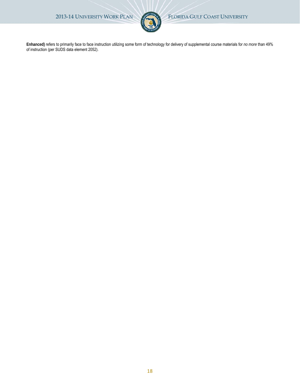

**Enhanced)** refers to primarily face to face instruction utilizing some form of technology for delivery of supplemental course materials for *no more* than 49% of instruction (per SUDS data element 2052).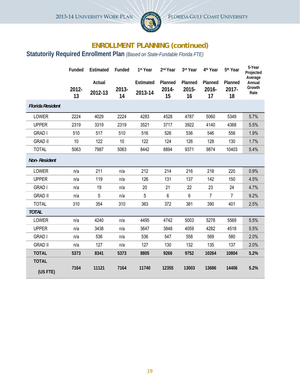

## **ENROLLMENT PLANNING (continued)**

**Statutorily Required Enrollment Plan** *(Based on State-Fundable Florida FTE)* 

|                         | Funded      | Estimated | Funded      | 1st Year  | 2 <sup>nd</sup> Year | 3rd Year    | 4 <sup>th</sup> Year | 5 <sup>th</sup> Year | 5-Year<br>Projected         |
|-------------------------|-------------|-----------|-------------|-----------|----------------------|-------------|----------------------|----------------------|-----------------------------|
|                         |             | Actual    |             | Estimated | Planned              | Planned     | Planned              | Planned              | Average<br>Annual<br>Growth |
|                         | 2012-<br>13 | 2012-13   | 2013-<br>14 | 2013-14   | 2014-<br>15          | 2015-<br>16 | $2016 -$<br>17       | $2017 -$<br>18       | Rate                        |
| <b>Florida Resident</b> |             |           |             |           |                      |             |                      |                      |                             |
| <b>LOWER</b>            | 2224        | 4029      | 2224        | 4283      | 4528                 | 4787        | 5060                 | 5349                 | 5.7%                        |
| <b>UPPER</b>            | 2319        | 3319      | 2319        | 3521      | 3717                 | 3922        | 4140                 | 4368                 | 5.5%                        |
| <b>GRAD I</b>           | 510         | 517       | 510         | 516       | 526                  | 536         | 546                  | 556                  | 1.9%                        |
| <b>GRAD II</b>          | 10          | 122       | 10          | 122       | 124                  | 126         | 128                  | 130                  | 1.7%                        |
| <b>TOTAL</b>            | 5063        | 7987      | 5063        | 8442      | 8894                 | 9371        | 9874                 | 10403                | 5.4%                        |
| Non-Resident            |             |           |             |           |                      |             |                      |                      |                             |
| <b>LOWER</b>            | n/a         | 211       | n/a         | 212       | 214                  | 216         | 218                  | 220                  | 0.9%                        |
| <b>UPPER</b>            | n/a         | 119       | n/a         | 126       | 131                  | 137         | 142                  | 150                  | 4.5%                        |
| <b>GRAD I</b>           | n/a         | 19        | n/a         | 20        | 21                   | 22          | 23                   | 24                   | 4.7%                        |
| <b>GRAD II</b>          | n/a         | 5         | n/a         | 5         | 6                    | 6           | $\overline{7}$       | $\overline{7}$       | 9.2%                        |
| <b>TOTAL</b>            | 310         | 354       | 310         | 363       | 372                  | 381         | 390                  | 401                  | 2.5%                        |
| <b>TOTAL</b>            |             |           |             |           |                      |             |                      |                      |                             |
| <b>LOWER</b>            | n/a         | 4240      | n/a         | 4495      | 4742                 | 5003        | 5278                 | 5569                 | 5.5%                        |
| <b>UPPER</b>            | n/a         | 3438      | n/a         | 3647      | 3848                 | 4059        | 4282                 | 4518                 | 5.5%                        |
| <b>GRAD I</b>           | n/a         | 536       | n/a         | 536       | 547                  | 558         | 569                  | 580                  | 2.0%                        |
| <b>GRAD II</b>          | n/a         | 127       | n/a         | 127       | 130                  | 132         | 135                  | 137                  | 2.0%                        |
| <b>TOTAL</b>            | 5373        | 8341      | 5373        | 8805      | 9266                 | 9752        | 10264                | 10804                | 5.2%                        |
| <b>TOTAL</b>            |             |           |             |           |                      |             |                      |                      |                             |
| (US FTE)                | 7164        | 11121     | 7164        | 11740     | 12355                | 13003       | 13686                | 14406                | 5.2%                        |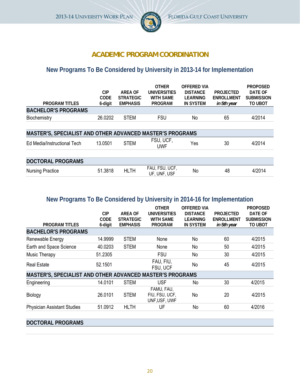

## **ACADEMIC PROGRAM COORDINATION**

## **New Programs To Be Considered by University in 2013-14 for Implementation**

| <b>PROGRAM TITLES</b>                                     | <b>CIP</b><br><b>CODE</b><br>6-digit | AREA OF<br><b>STRATEGIC</b><br><b>EMPHASIS</b> | <b>OTHER</b><br>UNIVERSITIES<br><b>WITH SAME</b><br><b>PROGRAM</b> | <b>OFFERED VIA</b><br><b>DISTANCE</b><br><b>LEARNING</b><br><b>IN SYSTEM</b> | <b>PROJECTED</b><br><b>ENROLLMENT</b><br>in 5th year | <b>PROPOSED</b><br>DATE OF<br><b>SUBMISSION</b><br>TO UBOT |
|-----------------------------------------------------------|--------------------------------------|------------------------------------------------|--------------------------------------------------------------------|------------------------------------------------------------------------------|------------------------------------------------------|------------------------------------------------------------|
| <b>BACHELOR'S PROGRAMS</b>                                |                                      |                                                |                                                                    |                                                                              |                                                      |                                                            |
| Biochemistry                                              | 26.0202                              | <b>STEM</b>                                    | <b>FSU</b>                                                         | No                                                                           | 65                                                   | 4/2014                                                     |
|                                                           |                                      |                                                |                                                                    |                                                                              |                                                      |                                                            |
| MASTER'S, SPECIALIST AND OTHER ADVANCED MASTER'S PROGRAMS |                                      |                                                |                                                                    |                                                                              |                                                      |                                                            |
| Ed Media/Instructional Tech                               | 13.0501                              | <b>STEM</b>                                    | FSU, UCF,<br><b>UWF</b>                                            | Yes                                                                          | 30                                                   | 4/2014                                                     |
|                                                           |                                      |                                                |                                                                    |                                                                              |                                                      |                                                            |
| <b>DOCTORAL PROGRAMS</b>                                  |                                      |                                                |                                                                    |                                                                              |                                                      |                                                            |
| <b>Nursing Practice</b>                                   | 51.3818                              | <b>HLTH</b>                                    | FAU, FSU, UCF,<br>UF, UNF, USF                                     | No                                                                           | 48                                                   | 4/2014                                                     |

## **New Programs To Be Considered by University in 2014-16 for Implementation**

|                                                           |            |                  | <b>OTHER</b>                                  | OFFERED VIA      |                   | <b>PROPOSED</b>   |
|-----------------------------------------------------------|------------|------------------|-----------------------------------------------|------------------|-------------------|-------------------|
|                                                           | <b>CIP</b> | <b>AREA OF</b>   | UNIVERSITIES                                  | <b>DISTANCE</b>  | <b>PROJECTED</b>  | DATE OF           |
|                                                           | CODE       | <b>STRATEGIC</b> | <b>WITH SAME</b>                              | LEARNING         | <b>ENROLLMENT</b> | <b>SUBMISSION</b> |
| <b>PROGRAM TITLES</b>                                     | 6-digit    | <b>EMPHASIS</b>  | <b>PROGRAM</b>                                | <b>IN SYSTEM</b> | in 5th year       | TO UBOT           |
| <b>BACHELOR'S PROGRAMS</b>                                |            |                  |                                               |                  |                   |                   |
| Renewable Energy                                          | 14.9999    | <b>STEM</b>      | None                                          | No               | 60                | 4/2015            |
| Earth and Space Science                                   | 40.0203    | <b>STEM</b>      | None                                          | No               | 50                | 4/2015            |
| Music Therapy                                             | 51.2305    |                  | <b>FSU</b>                                    | No               | 30                | 4/2015            |
| <b>Real Estate</b>                                        | 52.1501    |                  | FAU, FIU,<br>FSU, UCF                         | No               | 45                | 4/2015            |
| MASTER'S, SPECIALIST AND OTHER ADVANCED MASTER'S PROGRAMS |            |                  |                                               |                  |                   |                   |
| Engineering                                               | 14.0101    | <b>STEM</b>      | <b>USF</b>                                    | No               | 30                | 4/2015            |
| Biology                                                   | 26.0101    | <b>STEM</b>      | FAMU, FAU,<br>FIU, FSU, UCF,<br>UNF, USF, UWF | No               | 20                | 4/2015            |
| <b>Physician Assistant Studies</b>                        | 51.0912    | <b>HLTH</b>      | UF                                            | No               | 60                | 4/2016            |
|                                                           |            |                  |                                               |                  |                   |                   |

## **DOCTORAL PROGRAMS**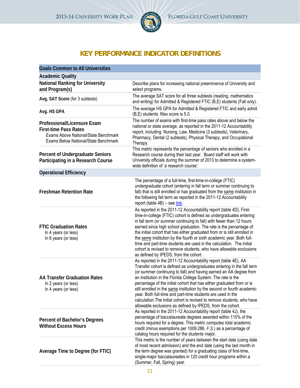

## **KEY PERFORMANCE INDICATOR DEFINITIONS**

| <b>Goals Common to All Universities</b>                                                                                                     |                                                                                                                                                                                                                                                                                                                                                                                                                                                                                                                                                                                                                                              |
|---------------------------------------------------------------------------------------------------------------------------------------------|----------------------------------------------------------------------------------------------------------------------------------------------------------------------------------------------------------------------------------------------------------------------------------------------------------------------------------------------------------------------------------------------------------------------------------------------------------------------------------------------------------------------------------------------------------------------------------------------------------------------------------------------|
| <b>Academic Quality</b>                                                                                                                     |                                                                                                                                                                                                                                                                                                                                                                                                                                                                                                                                                                                                                                              |
| <b>National Ranking for University</b><br>and Program(s)                                                                                    | Describe plans for increasing national preeminence of University and<br>select programs.                                                                                                                                                                                                                                                                                                                                                                                                                                                                                                                                                     |
| Avg. SAT Score (for 3 subtests)                                                                                                             | The average SAT score for all three subtests (reading, mathematics<br>and writing) for Admitted & Registered FTIC (B,E) students (Fall only).                                                                                                                                                                                                                                                                                                                                                                                                                                                                                                |
| Avg. HS GPA                                                                                                                                 | The average HS GPA for Admitted & Registered FTIC and early admit<br>(B,E) students. Max score is 5.0.                                                                                                                                                                                                                                                                                                                                                                                                                                                                                                                                       |
| Professional/Licensure Exam<br><b>First-time Pass Rates</b><br>Exams Above National/State Benchmark<br>Exams Below National/State Benchmark | The number of exams with first-time pass rates above and below the<br>national or state average, as reported in the 2011-12 Accountability<br>report, including: Nursing, Law, Medicine (3 subtests), Veterinary,<br>Pharmacy, Dental (2 subtests), Physical Therapy, and Occupational<br>Therapy.                                                                                                                                                                                                                                                                                                                                           |
| <b>Percent of Undergraduate Seniors</b><br>Participating in a Research Course                                                               | This metric represents the percentage of seniors who enrolled in a<br>Research course during their last year. Board staff will work with<br>University officials during the summer of 2013 to determine a system-<br>wide definition of 'a research course'.                                                                                                                                                                                                                                                                                                                                                                                 |
| <b>Operational Efficiency</b>                                                                                                               |                                                                                                                                                                                                                                                                                                                                                                                                                                                                                                                                                                                                                                              |
| <b>Freshman Retention Rate</b>                                                                                                              | The percentage of a full-time, first-time-in-college (FTIC)<br>undergraduate cohort (entering in fall term or summer continuing to<br>fall) that is still enrolled or has graduated from the same institution in<br>the following fall term as reported in the 2011-12 Accountability<br>report (table 4B) - see link.                                                                                                                                                                                                                                                                                                                       |
| <b>FTIC Graduation Rates</b><br>In 4 years (or less)<br>In 6 years (or less)                                                                | As reported in the 2011-12 Accountability report (table 4D), First-<br>time-in-college (FTIC) cohort is defined as undergraduates entering<br>in fall term (or summer continuing to fall) with fewer than 12 hours<br>earned since high school graduation. The rate is the percentage of<br>the initial cohort that has either graduated from or is still enrolled in<br>the same institution by the fourth or sixth academic year. Both full-<br>time and part-time students are used in the calculation. The initial<br>cohort is revised to remove students, who have allowable exclusions<br>as defined by IPEDS, from the cohort.       |
| <b>AA Transfer Graduation Rates</b><br>In 2 years (or less)<br>In 4 years (or less)                                                         | As reported in the 2011-12 Accountability report (table 4E), AA<br>Transfer cohort is defined as undergraduates entering in the fall term<br>(or summer continuing to fall) and having earned an AA degree from<br>an institution in the Florida College System. The rate is the<br>percentage of the initial cohort that has either graduated from or is<br>still enrolled in the same institution by the second or fourth academic<br>year. Both full-time and part-time students are used in the<br>calculation. The initial cohort is revised to remove students, who have<br>allowable exclusions as defined by IPEDS, from the cohort. |
| Percent of Bachelor's Degrees<br><b>Without Excess Hours</b>                                                                                | As reported in the 2011-12 Accountability report (table 4J), the<br>percentage of baccalaureate degrees awarded within 110% of the<br>hours required for a degree. This metric computes total academic<br>credit (minus exemptions per 1009.286, F.S.) as a percentage of<br>catalog hours required for the students major.                                                                                                                                                                                                                                                                                                                  |
| Average Time to Degree (for FTIC)                                                                                                           | This metric is the number of years between the start date (using date<br>of most recent admission) and the end date (using the last month in<br>the term degree was granted) for a graduating class of first-time,<br>single-major baccalaureates in 120 credit hour programs within a<br>(Summer, Fall, Spring) year.                                                                                                                                                                                                                                                                                                                       |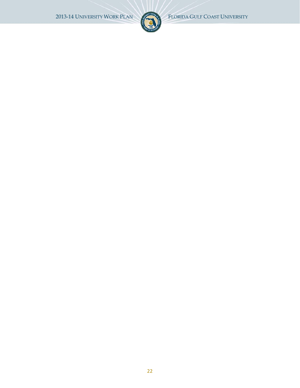

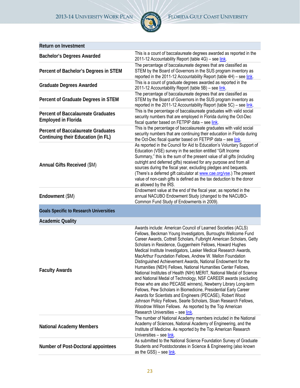

| <b>Return on Investment</b>                                                     |                                                                                                                                                                                                                                                                                                                                                                                                                                                                                                                                                                                                                                                                                                                                                                                                                                                                                                                                                                                                                                                     |
|---------------------------------------------------------------------------------|-----------------------------------------------------------------------------------------------------------------------------------------------------------------------------------------------------------------------------------------------------------------------------------------------------------------------------------------------------------------------------------------------------------------------------------------------------------------------------------------------------------------------------------------------------------------------------------------------------------------------------------------------------------------------------------------------------------------------------------------------------------------------------------------------------------------------------------------------------------------------------------------------------------------------------------------------------------------------------------------------------------------------------------------------------|
| <b>Bachelor's Degrees Awarded</b>                                               | This is a count of baccalaureate degrees awarded as reported in the<br>2011-12 Accountability Report (table 4G) - see link.                                                                                                                                                                                                                                                                                                                                                                                                                                                                                                                                                                                                                                                                                                                                                                                                                                                                                                                         |
| Percent of Bachelor's Degrees in STEM                                           | The percentage of baccalaureate degrees that are classified as<br>STEM by the Board of Governors in the SUS program inventory as<br>reported in the 2011-12 Accountability Report (table 4H) – see link.                                                                                                                                                                                                                                                                                                                                                                                                                                                                                                                                                                                                                                                                                                                                                                                                                                            |
| <b>Graduate Degrees Awarded</b>                                                 | This is a count of graduate degrees awarded as reported in the<br>2011-12 Accountability Report (table 5B) - see link.                                                                                                                                                                                                                                                                                                                                                                                                                                                                                                                                                                                                                                                                                                                                                                                                                                                                                                                              |
| Percent of Graduate Degrees in STEM                                             | The percentage of baccalaureate degrees that are classified as<br>STEM by the Board of Governors in the SUS program inventory as<br>reported in the 2011-12 Accountability Report (table 5C) – see link.                                                                                                                                                                                                                                                                                                                                                                                                                                                                                                                                                                                                                                                                                                                                                                                                                                            |
| <b>Percent of Baccalaureate Graduates</b><br><b>Employed in Florida</b>         | This is the percentage of baccalaureate graduates with valid social<br>security numbers that are employed in Florida during the Oct-Dec<br>fiscal quarter based on FETPIP data - see link.                                                                                                                                                                                                                                                                                                                                                                                                                                                                                                                                                                                                                                                                                                                                                                                                                                                          |
| <b>Percent of Baccalaureate Graduates</b><br>Continuing their Education (in FL) | This is the percentage of baccalaureate graduates with valid social<br>security numbers that are continuing their education in Florida during<br>the Oct-Dec fiscal quarter based on FETPIP data - see link.                                                                                                                                                                                                                                                                                                                                                                                                                                                                                                                                                                                                                                                                                                                                                                                                                                        |
| Annual Gifts Received (\$M)                                                     | As reported in the Council for Aid to Education's Voluntary Support of<br>Education (VSE) survey in the section entitled "Gift Income<br>Summary," this is the sum of the present value of all gifts (including<br>outright and deferred gifts) received for any purpose and from all<br>sources during the fiscal year, excluding pledges and bequests.<br>(There's a deferred gift calculator at www.cae.org/vse.) The present<br>value of non-cash gifts is defined as the tax deduction to the donor<br>as allowed by the IRS.                                                                                                                                                                                                                                                                                                                                                                                                                                                                                                                  |
| Endowment (\$M)                                                                 | Endowment value at the end of the fiscal year, as reported in the<br>annual NACUBO Endowment Study (changed to the NACUBO-<br>Common Fund Study of Endowments in 2009).                                                                                                                                                                                                                                                                                                                                                                                                                                                                                                                                                                                                                                                                                                                                                                                                                                                                             |
| <b>Goals Specific to Research Universities</b>                                  |                                                                                                                                                                                                                                                                                                                                                                                                                                                                                                                                                                                                                                                                                                                                                                                                                                                                                                                                                                                                                                                     |
| <b>Academic Quality</b>                                                         |                                                                                                                                                                                                                                                                                                                                                                                                                                                                                                                                                                                                                                                                                                                                                                                                                                                                                                                                                                                                                                                     |
| <b>Faculty Awards</b>                                                           | Awards include: American Council of Learned Societies (ACLS)<br>Fellows, Beckman Young Investigators, Burroughs Wellcome Fund<br>Career Awards, Cottrell Scholars, Fulbright American Scholars, Getty<br>Scholars in Residence, Guggenheim Fellows, Howard Hughes<br>Medical Institute Investigators, Lasker Medical Research Awards,<br>MacArthur Foundation Fellows, Andrew W. Mellon Foundation<br>Distinguished Achievement Awards, National Endowment for the<br>Humanities (NEH) Fellows, National Humanities Center Fellows,<br>National Institutes of Health (NIH) MERIT, National Medal of Science<br>and National Medal of Technology, NSF CAREER awards (excluding<br>those who are also PECASE winners), Newberry Library Long-term<br>Fellows, Pew Scholars in Biomedicine, Presidential Early Career<br>Awards for Scientists and Engineers (PECASE), Robert Wood<br>Johnson Policy Fellows, Searle Scholars, Sloan Research Fellows,<br>Woodrow Wilson Fellows. As reported by the Top American<br>Research Universities - see link. |
| <b>National Academy Members</b>                                                 | The number of National Academy members included in the National<br>Academy of Sciences, National Academy of Engineering, and the<br>Institute of Medicine. As reported by the Top American Research<br>Universities - see link.                                                                                                                                                                                                                                                                                                                                                                                                                                                                                                                                                                                                                                                                                                                                                                                                                     |
| Number of Post-Doctoral appointees                                              | As submitted to the National Science Foundation Survey of Graduate<br>Students and Postdoctorates in Science & Engineering (also known<br>as the GSS) - see link.                                                                                                                                                                                                                                                                                                                                                                                                                                                                                                                                                                                                                                                                                                                                                                                                                                                                                   |